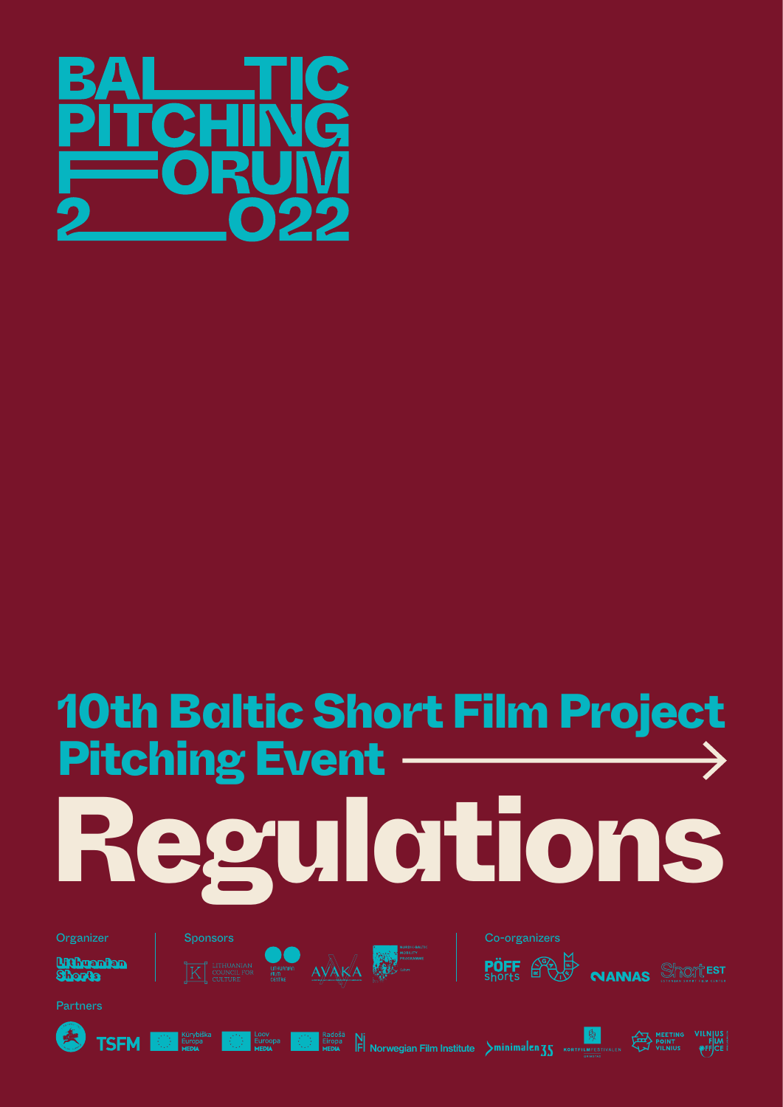

# Regulations 10th Baltic Short Film Project Pitching Event

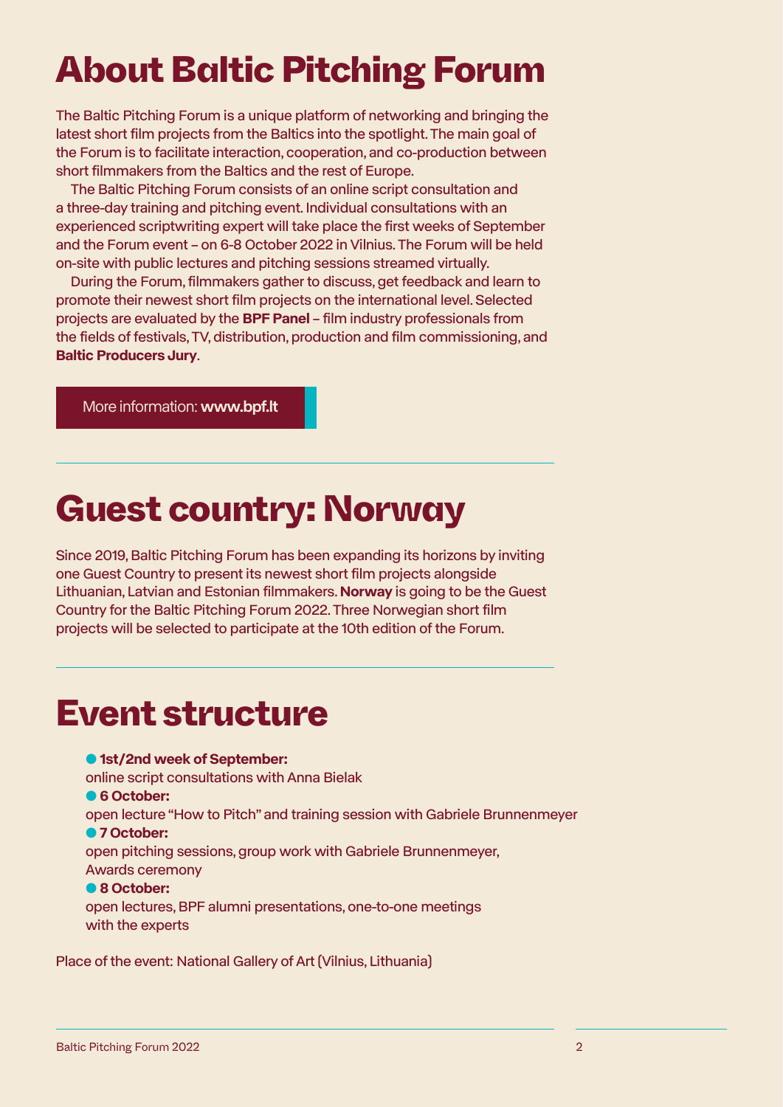## About Baltic Pitching Forum

The Baltic Pitching Forum is a unique platform of networking and bringing the latest short film projects from the Baltics into the spotlight. The main goal of the Forum is to facilitate interaction, cooperation, and co-production between short filmmakers from the Baltics and the rest of Europe.

The Baltic Pitching Forum consists of an online script consultation and a three-day training and pitching event. Individual consultations with an experienced scriptwriting expert will take place the first weeks of September and the Forum event – on 6-8 October 2022 in Vilnius. The Forum will be held on-site with public lectures and pitching sessions streamed virtually.

During the Forum, filmmakers gather to discuss, get feedback and learn to promote their newest short film projects on the international level. Selected projects are evaluated by the **BPF Panel** – film industry professionals from the fields of festivals, TV, distribution, production and film commissioning, and **Baltic Producers Jury**.

[More information:](http://www.bpf.lt) www.bpf.lt

## Guest country: Norway

Since 2019, Baltic Pitching Forum has been expanding its horizons by inviting one Guest Country to present its newest short film projects alongside Lithuanian, Latvian and Estonian filmmakers. **Norway** is going to be the Guest Country for the Baltic Pitching Forum 2022. Three Norwegian short film projects will be selected to participate at the 10th edition of the Forum.

## Event structure

#### ● **1st/2nd week of September:**

online script consultations with Anna Bielak

#### ● **6 October:**

open lecture "How to Pitch" and training session with Gabriele Brunnenmeyer ● **7 October:**

open pitching sessions, group work with Gabriele Brunnenmeyer, Awards ceremony

#### ● **8 October:**

open lectures, BPF alumni presentations, one-to-one meetings with the experts

Place of the event: National Gallery of Art (Vilnius, Lithuania)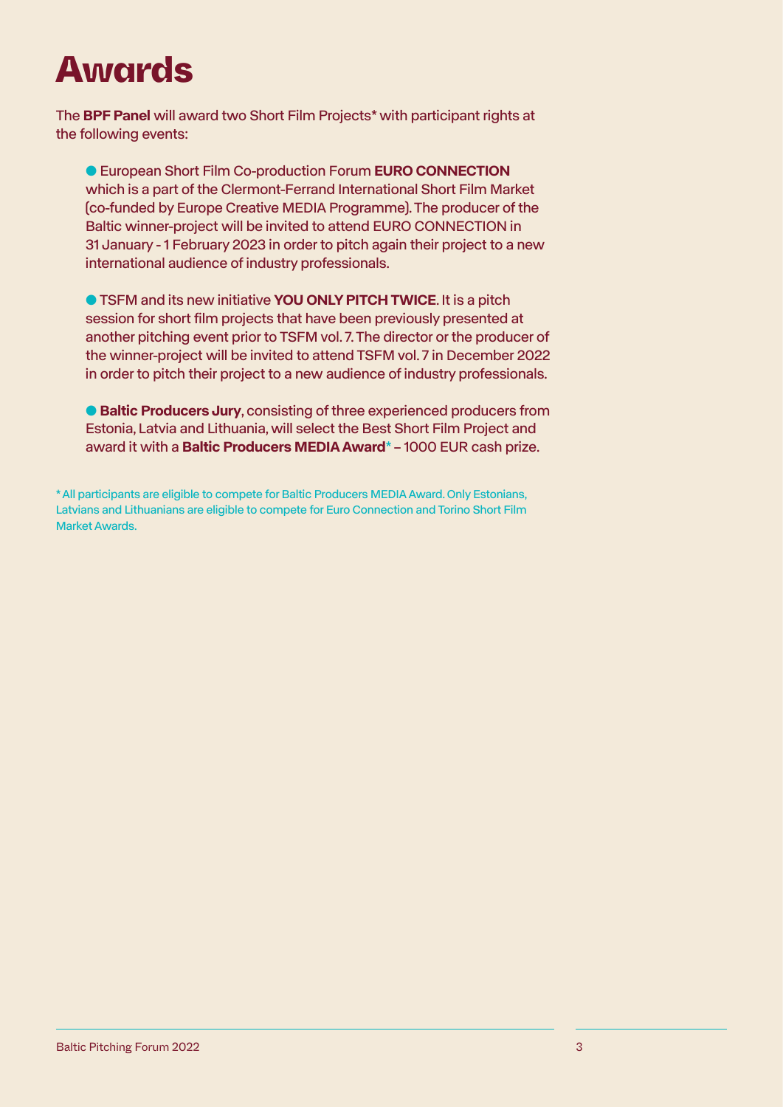## Awards

The **BPF Panel** will award two Short Film Projects\* with participant rights at the following events:

● European Short Film Co-production Forum **EURO CONNECTION** which is a part of the Clermont-Ferrand International Short Film Market (co-funded by Europe Creative MEDIA Programme). The producer of the Baltic winner-project will be invited to attend EURO CONNECTION in 31 January - 1 February 2023 in order to pitch again their project to a new international audience of industry professionals.

**• TSFM and its new initiative YOU ONLY PITCH TWICE. It is a pitch** session for short film projects that have been previously presented at another pitching event prior to TSFM vol. 7. The director or the producer of the winner-project will be invited to attend TSFM vol. 7 in December 2022 in order to pitch their project to a new audience of industry professionals.

● **Baltic Producers Jury**, consisting of three experienced producers from Estonia, Latvia and Lithuania, will select the Best Short Film Project and award it with a **Baltic Producers MEDIA Award**\* – 1000 EUR cash prize.

\* All participants are eligible to compete for Baltic Producers MEDIA Award. Only Estonians, Latvians and Lithuanians are eligible to compete for Euro Connection and Torino Short Film Market Awards.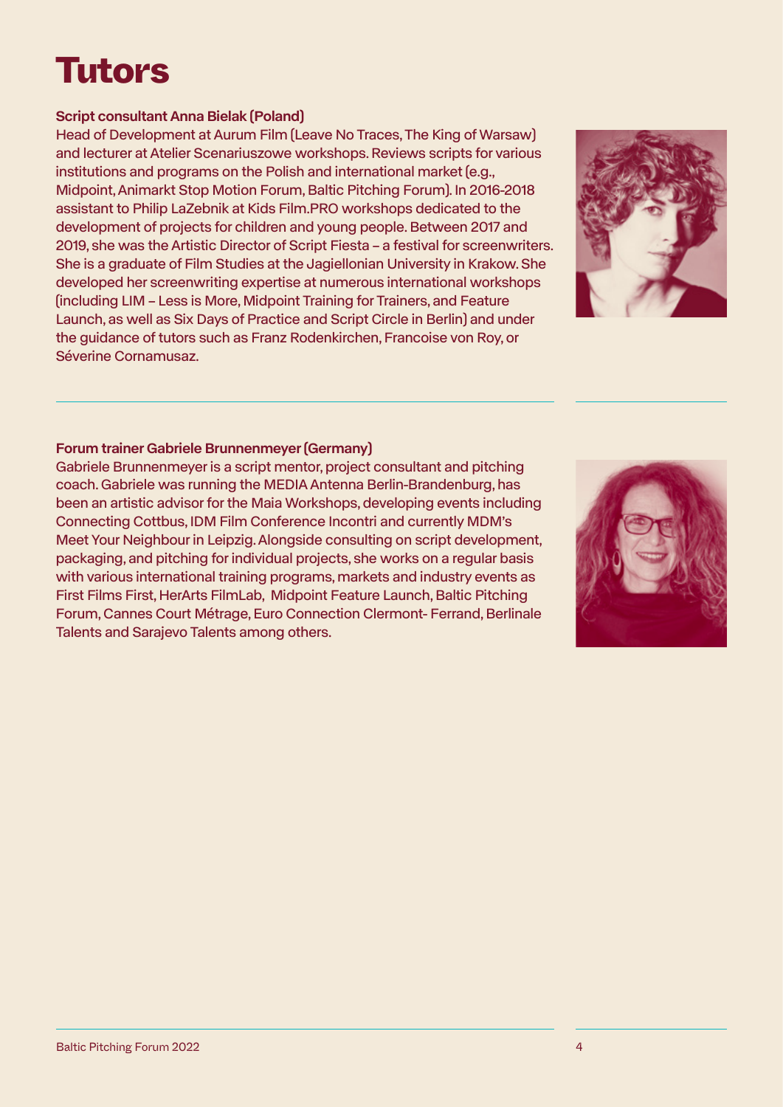## Tutors

#### Script consultant Anna Bielak (Poland)

Head of Development at Aurum Film (Leave No Traces, The King of Warsaw) and lecturer at Atelier Scenariuszowe workshops. Reviews scripts for various institutions and programs on the Polish and international market (e.g., Midpoint, Animarkt Stop Motion Forum, Baltic Pitching Forum). In 2016-2018 assistant to Philip LaZebnik at Kids Film.PRO workshops dedicated to the development of projects for children and young people. Between 2017 and 2019, she was the Artistic Director of Script Fiesta – a festival for screenwriters. She is a graduate of Film Studies at the Jagiellonian University in Krakow. She developed her screenwriting expertise at numerous international workshops (including LIM – Less is More, Midpoint Training for Trainers, and Feature Launch, as well as Six Days of Practice and Script Circle in Berlin) and under the guidance of tutors such as Franz Rodenkirchen, Francoise von Roy, or Séverine Cornamusaz.

#### Forum trainer Gabriele Brunnenmeyer (Germany)

Gabriele Brunnenmeyer is a script mentor, project consultant and pitching coach. Gabriele was running the MEDIA Antenna Berlin-Brandenburg, has been an artistic advisor for the Maia Workshops, developing events including Connecting Cottbus, IDM Film Conference Incontri and currently MDM's Meet Your Neighbour in Leipzig. Alongside consulting on script development, packaging, and pitching for individual projects, she works on a regular basis with various international training programs, markets and industry events as First Films First, HerArts FilmLab, Midpoint Feature Launch, Baltic Pitching Forum, Cannes Court Métrage, Euro Connection Clermont- Ferrand, Berlinale Talents and Sarajevo Talents among others.



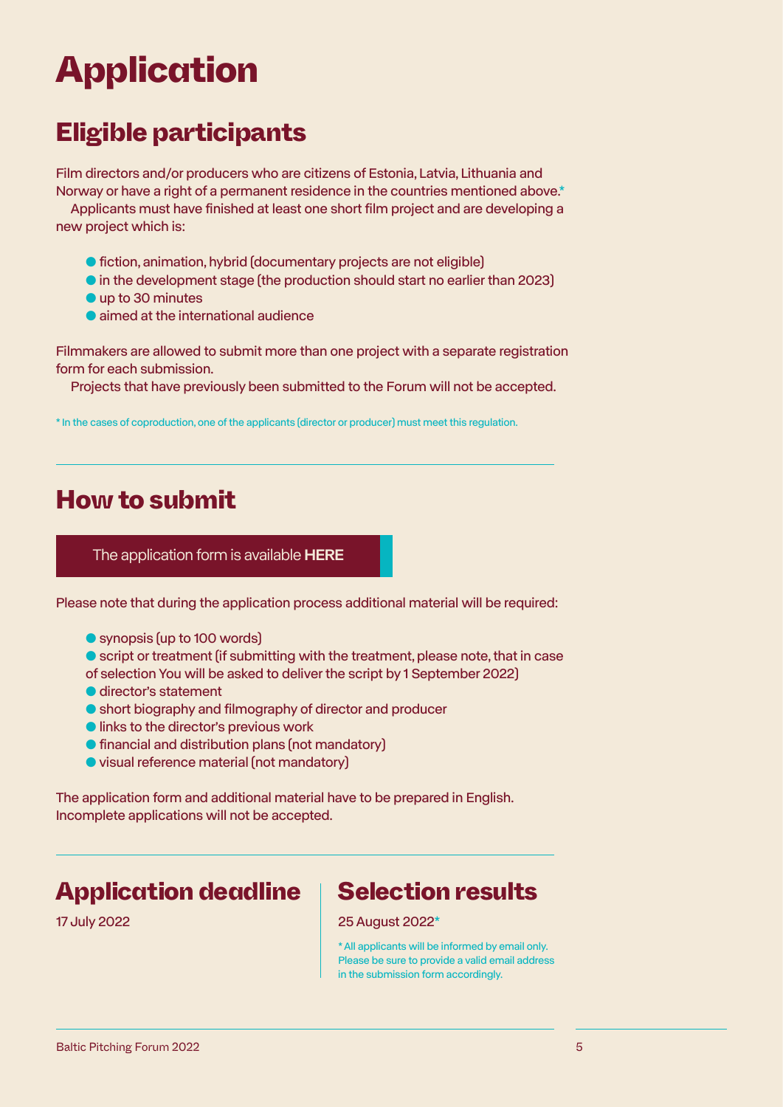## Application

### Eligible participants

Film directors and/or producers who are citizens of Estonia, Latvia, Lithuania and Norway or have a right of a permanent residence in the countries mentioned above.\*

Applicants must have finished at least one short film project and are developing a new project which is:

- fiction, animation, hybrid (documentary projects are not eligible)
- in the development stage (the production should start no earlier than 2023)
- up to 30 minutes
- aimed at the international audience

Filmmakers are allowed to submit more than one project with a separate registration form for each submission.

Projects that have previously been submitted to the Forum will not be accepted.

\* In the cases of coproduction, one of the applicants (director or producer) must meet this regulation.

### How to submit

#### [The application form is available](https://forms.gle/8nGycbhUAMmpqV1eA) HERE

Please note that during the application process additional material will be required:

● synopsis (up to 100 words)

● script or treatment (if submitting with the treatment, please note, that in case of selection You will be asked to deliver the script by 1 September 2022)

- director's statement
- short biography and filmography of director and producer
- links to the director's previous work
- financial and distribution plans (not mandatory)
- visual reference material (not mandatory)

The application form and additional material have to be prepared in English. Incomplete applications will not be accepted.

### Application deadline | Selection results

#### 17 July 2022 25 August 2022\*

\* All applicants will be informed by email only. Please be sure to provide a valid email address in the submission form accordingly.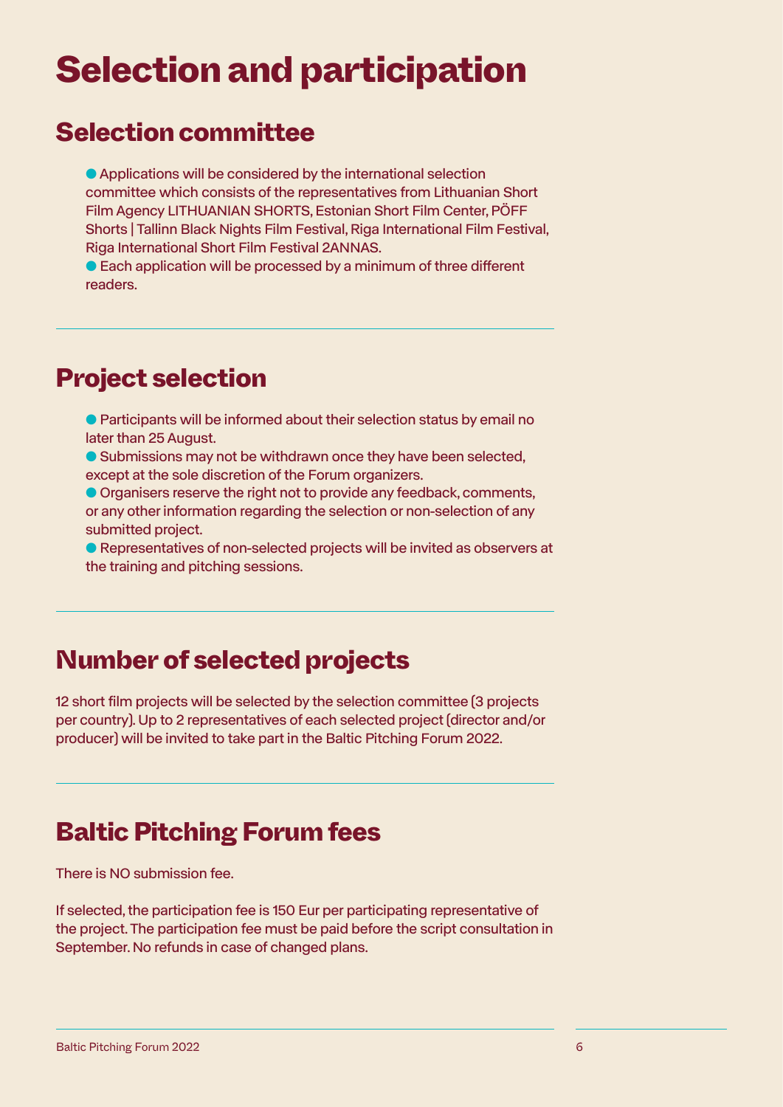## Selection and participation

### Selection committee

● Applications will be considered by the international selection committee which consists of the representatives from Lithuanian Short Film Agency LITHUANIAN SHORTS, Estonian Short Film Center, PÖFF Shorts | Tallinn Black Nights Film Festival, Riga International Film Festival, Riga International Short Film Festival 2ANNAS.

● Each application will be processed by a minimum of three different readers.

### Project selection

- Participants will be informed about their selection status by email no later than 25 August.
- Submissions may not be withdrawn once they have been selected, except at the sole discretion of the Forum organizers.
- Organisers reserve the right not to provide any feedback, comments, or any other information regarding the selection or non-selection of any submitted project.
- Representatives of non-selected projects will be invited as observers at the training and pitching sessions.

### Number of selected projects

12 short film projects will be selected by the selection committee (3 projects per country). Up to 2 representatives of each selected project (director and/or producer) will be invited to take part in the Baltic Pitching Forum 2022.

### Baltic Pitching Forum fees

There is NO submission fee.

If selected, the participation fee is 150 Eur per participating representative of the project. The participation fee must be paid before the script consultation in September. No refunds in case of changed plans.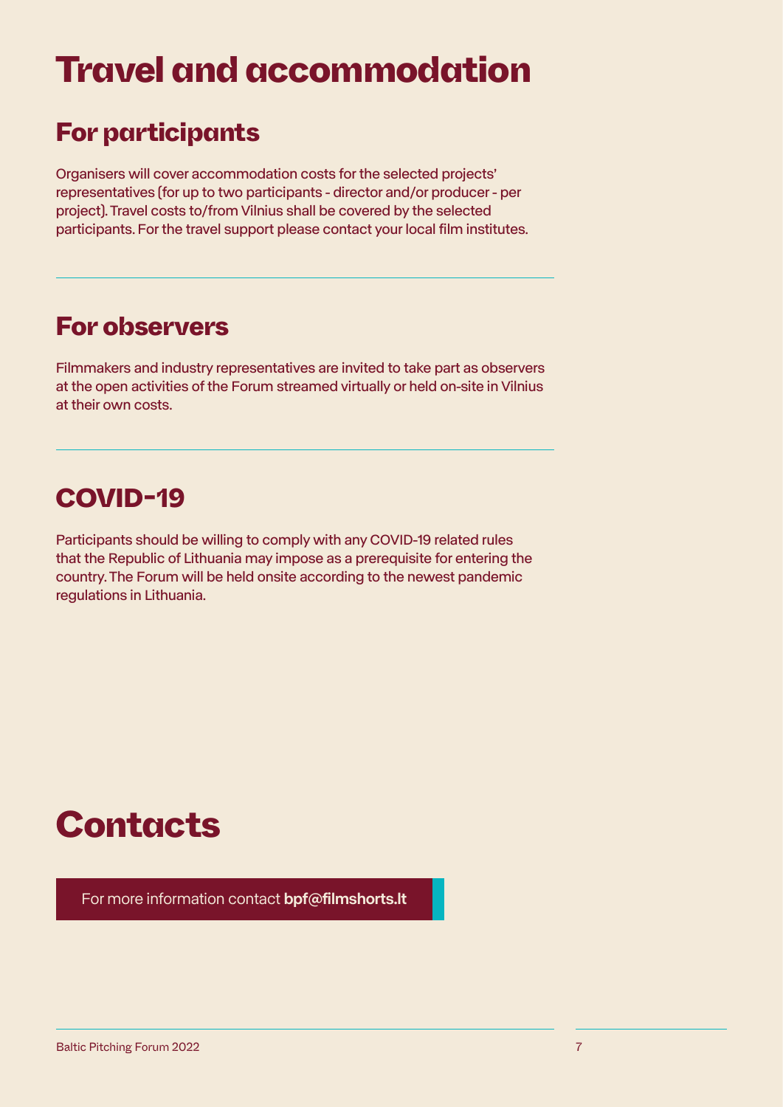## Travel and accommodation

### For participants

Organisers will cover accommodation costs for the selected projects' representatives (for up to two participants - director and/or producer - per project). Travel costs to/from Vilnius shall be covered by the selected participants. For the travel support please contact your local film institutes.

### For observers

Filmmakers and industry representatives are invited to take part as observers at the open activities of the Forum streamed virtually or held on-site in Vilnius at their own costs.

### COVID-19

Participants should be willing to comply with any COVID-19 related rules that the Republic of Lithuania may impose as a prerequisite for entering the country. The Forum will be held onsite according to the newest pandemic regulations in Lithuania.

## **Contacts**

[For more information contact](mailto:bpf%40filmshorts.lt?subject=) bpf@filmshorts.lt